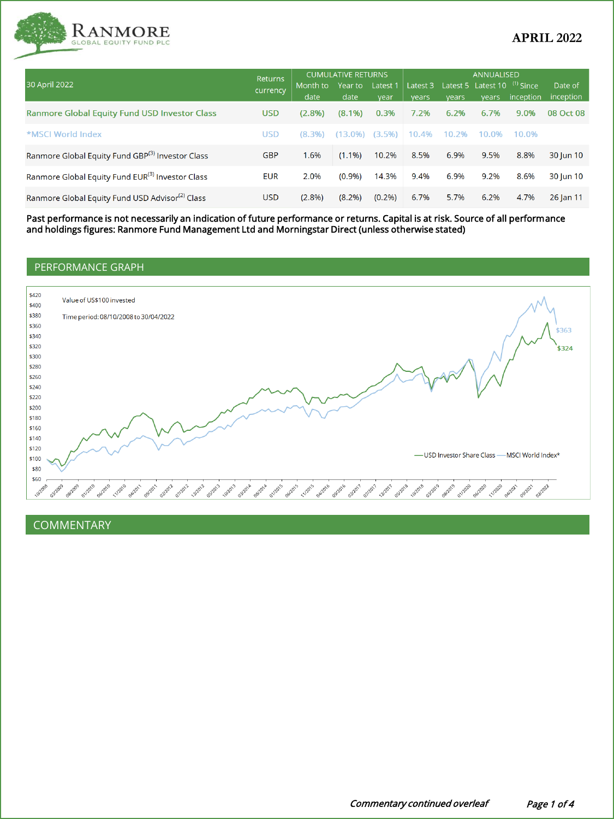

|                                                              | Returns<br>currency | <b>CUMULATIVE RETURNS</b> |                 |                  | <b>ANNUALISED</b> |       |                                                         |           |                      |
|--------------------------------------------------------------|---------------------|---------------------------|-----------------|------------------|-------------------|-------|---------------------------------------------------------|-----------|----------------------|
| 30 April 2022                                                |                     | Month to<br>date          | Year to<br>date | Latest 1<br>vear | Latest 3<br>vears | vears | Latest 5 Latest 10 <sup>(1)</sup> Since<br><b>vears</b> | inception | Date of<br>inception |
| <b>Ranmore Global Equity Fund USD Investor Class</b>         | <b>USD</b>          | $(2.8\%)$                 | $(8.1\%)$       | 0.3%             | 7.2%              | 6.2%  | 6.7%                                                    | 9.0%      | 08 Oct 08            |
| *MSCI World Index                                            | <b>USD</b>          | $(8.3\%)$                 | $(13.0\%)$      | $(3.5\%)$        | 10.4%             | 10.2% | 10.0%                                                   | 10.0%     |                      |
| Ranmore Global Equity Fund GBP <sup>(3)</sup> Investor Class | <b>GBP</b>          | 1.6%                      | $(1.1\%)$       | 10.2%            | 8.5%              | 6.9%  | 9.5%                                                    | 8.8%      | 30 Jun 10            |
| Ranmore Global Equity Fund EUR <sup>(3)</sup> Investor Class | <b>EUR</b>          | 2.0%                      | $(0.9\%)$       | 14.3%            | 9.4%              | 6.9%  | 9.2%                                                    | 8.6%      | 30 Jun 10            |
| Ranmore Global Equity Fund USD Advisor <sup>(2)</sup> Class  | <b>USD</b>          | (2.8%)                    | (8.2%)          | $(0.2\%)$        | 6.7%              | 5.7%  | 6.2%                                                    | 4.7%      | 26 Jan 11            |

Past performance is not necessarily an indication of future performance or returns. Capital is at risk. Source of all performance and holdings figures: Ranmore Fund Management Ltd and Morningstar Direct (unless otherwise stated)

# PERFORMANCE GRAPH



COMMENTARY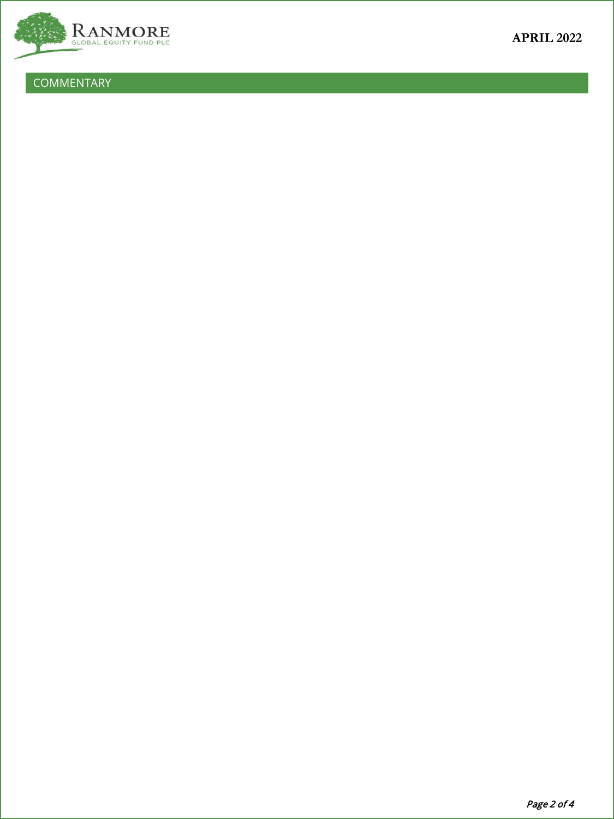

COMMENTARY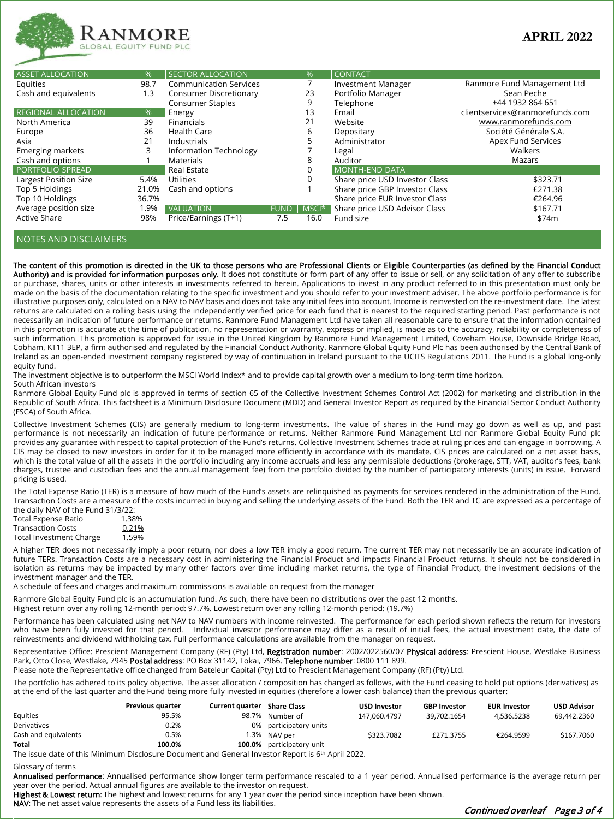

| <b>ASSET ALLOCATION</b>    | %     | <b>SECTOR ALLOCATION</b>      |             | %        | <b>CONTACT</b>                 |                                 |
|----------------------------|-------|-------------------------------|-------------|----------|--------------------------------|---------------------------------|
| Equities                   | 98.7  | <b>Communication Services</b> |             |          | <b>Investment Manager</b>      | Ranmore Fund Management Ltd     |
| Cash and equivalents       | 1.3   | <b>Consumer Discretionary</b> |             | 23       | Portfolio Manager              | Sean Peche                      |
|                            |       | <b>Consumer Staples</b>       |             | 9        | Telephone                      | +44 1932 864 651                |
| <b>REGIONAL ALLOCATION</b> | %     | Energy                        |             | 13       | Email                          | clientservices@ranmorefunds.com |
| North America              | 39    | <b>Financials</b>             |             | 21       | Website                        | www.ranmorefunds.com            |
| Europe                     | 36    | <b>Health Care</b>            |             | 6        | Depositary                     | Société Générale S.A.           |
| Asia                       | 21    | Industrials                   |             |          | Administrator                  | Apex Fund Services              |
| <b>Emerging markets</b>    | 3     | Information Technology        |             |          | Legal                          | Walkers                         |
| Cash and options           |       | Materials                     |             | 8        | Auditor                        | Mazars                          |
| PORTFOLIO SPREAD           |       | Real Estate                   |             | $\Omega$ | <b>MONTH-END DATA</b>          |                                 |
| Largest Position Size      | 5.4%  | Utilities                     |             | $\Omega$ | Share price USD Investor Class | \$323.71                        |
| Top 5 Holdings             | 21.0% | Cash and options              |             |          | Share price GBP Investor Class | £271.38                         |
| Top 10 Holdings            | 36.7% |                               |             |          | Share price EUR Investor Class | €264.96                         |
| Average position size      | 1.9%  | <b>VALUATION</b>              | <b>FUND</b> | MSCI*    | Share price USD Advisor Class  | \$167.71                        |
| <b>Active Share</b>        | 98%   | Price/Earnings (T+1)          | 7.5         | 16.0     | Fund size                      | \$74m                           |

## NOTES AND DISCLAIMERS

The content of this promotion is directed in the UK to those persons who are Professional Clients or Eligible Counterparties (as defined by the Financial Conduct Authority) and is provided for information purposes only. It does not constitute or form part of any offer to issue or sell, or any solicitation of any offer to subscribe or purchase, shares, units or other interests in investments referred to herein. Applications to invest in any product referred to in this presentation must only be made on the basis of the documentation relating to the specific investment and you should refer to your investment adviser. The above portfolio performance is for illustrative purposes only, calculated on a NAV to NAV basis and does not take any initial fees into account. Income is reinvested on the re-investment date. The latest returns are calculated on a rolling basis using the independently verified price for each fund that is nearest to the required starting period. Past performance is not necessarily an indication of future performance or returns. Ranmore Fund Management Ltd have taken all reasonable care to ensure that the information contained in this promotion is accurate at the time of publication, no representation or warranty, express or implied, is made as to the accuracy, reliability or completeness of such information. This promotion is approved for issue in the United Kingdom by Ranmore Fund Management Limited, Coveham House, Downside Bridge Road, Cobham, KT11 3EP, a firm authorised and regulated by the Financial Conduct Authority. Ranmore Global Equity Fund Plc has been authorised by the Central Bank of Ireland as an open-ended investment company registered by way of continuation in Ireland pursuant to the UCITS Regulations 2011. The Fund is a global long-only equity fund.

The investment objective is to outperform the MSCI World Index\* and to provide capital growth over a medium to long-term time horizon.

#### South African investors

Ranmore Global Equity Fund plc is approved in terms of section 65 of the Collective Investment Schemes Control Act (2002) for marketing and distribution in the Republic of South Africa. This factsheet is a Minimum Disclosure Document (MDD) and General Investor Report as required by the Financial Sector Conduct Authority (FSCA) of South Africa.

Collective Investment Schemes (CIS) are generally medium to long-term investments. The value of shares in the Fund may go down as well as up, and past performance is not necessarily an indication of future performance or returns. Neither Ranmore Fund Management Ltd nor Ranmore Global Equity Fund plc provides any guarantee with respect to capital protection of the Fund's returns. Collective Investment Schemes trade at ruling prices and can engage in borrowing. A CIS may be closed to new investors in order for it to be managed more efficiently in accordance with its mandate. CIS prices are calculated on a net asset basis, which is the total value of all the assets in the portfolio including any income accruals and less any permissible deductions (brokerage, STT, VAT, auditor's fees, bank charges, trustee and custodian fees and the annual management fee) from the portfolio divided by the number of participatory interests (units) in issue. Forward pricing is used.

The Total Expense Ratio (TER) is a measure of how much of the Fund's assets are relinquished as payments for services rendered in the administration of the Fund. Transaction Costs are a measure of the costs incurred in buying and selling the underlying assets of the Fund. Both the TER and TC are expressed as a percentage of

| the daily NAV of the Fund 31/3/22: |       |
|------------------------------------|-------|
| <b>Total Expense Ratio</b>         | 1.38% |
| <b>Transaction Costs</b>           | 0.21% |
| <b>Total Investment Charge</b>     | 1.59% |

A higher TER does not necessarily imply a poor return, nor does a low TER imply a good return. The current TER may not necessarily be an accurate indication of future TERs. Transaction Costs are a necessary cost in administering the Financial Product and impacts Financial Product returns. It should not be considered in isolation as returns may be impacted by many other factors over time including market returns, the type of Financial Product, the investment decisions of the investment manager and the TER.

A schedule of fees and charges and maximum commissions is available on request from the manager

Ranmore Global Equity Fund plc is an accumulation fund. As such, there have been no distributions over the past 12 months. Highest return over any rolling 12-month period: 97.7%. Lowest return over any rolling 12-month period: (19.7%)

Performance has been calculated using net NAV to NAV numbers with income reinvested. The performance for each period shown reflects the return for investors who have been fully invested for that period. Individual investor performance may differ as a result of initial fees, the actual investment date, the date of reinvestments and dividend withholding tax. Full performance calculations are available from the manager on request.

Representative Office: Prescient Management Company (RF) (Pty) Ltd, Registration number: 2002/022560/07 Physical address: Prescient House, Westlake Business Park, Otto Close, Westlake, 7945 Postal address: PO Box 31142, Tokai, 7966. Telephone number: 0800 111 899.

Please note the Representative office changed from Bateleur Capital (Pty) Ltd to Prescient Management Company (RF) (Pty) Ltd.

The portfolio has adhered to its policy objective. The asset allocation / composition has changed as follows, with the Fund ceasing to hold put options (derivatives) as at the end of the last quarter and the Fund being more fully invested in equities (therefore a lower cash balance) than the previous quarter:

|                      | <b>Previous quarter</b> | <b>Current quarter</b> | <b>Share Class</b>  | <b>USD Investor</b> | <b>GBP Investor</b> | <b>EUR Investor</b> | <b>USD Advisor</b> |
|----------------------|-------------------------|------------------------|---------------------|---------------------|---------------------|---------------------|--------------------|
| Equities             | 95.5%                   | 98.7%                  | Number of           | 147.060.4797        | 39.702.1654         | 4.536.5238          | 69.442.2360        |
| Derivatives          | 0.2%                    | 0%                     | participatory units |                     |                     |                     |                    |
| Cash and equivalents | 0.5%                    |                        | 1.3% NAV per        | \$323.7082          | £271.3755           | €264.9599           | \$167.7060         |
| Total                | 100.0%                  | 100.0%                 | participatory unit  |                     |                     |                     |                    |

The issue date of this Minimum Disclosure Document and General Investor Report is 6th April 2022.

#### Glossary of terms

Annualised performance: Annualised performance show longer term performance rescaled to a 1 year period. Annualised performance is the average return per year over the period. Actual annual figures are available to the investor on request.

Highest & Lowest return: The highest and lowest returns for any 1 year over the period since inception have been shown.

NAV: The net asset value represents the assets of a Fund less its liabilities.